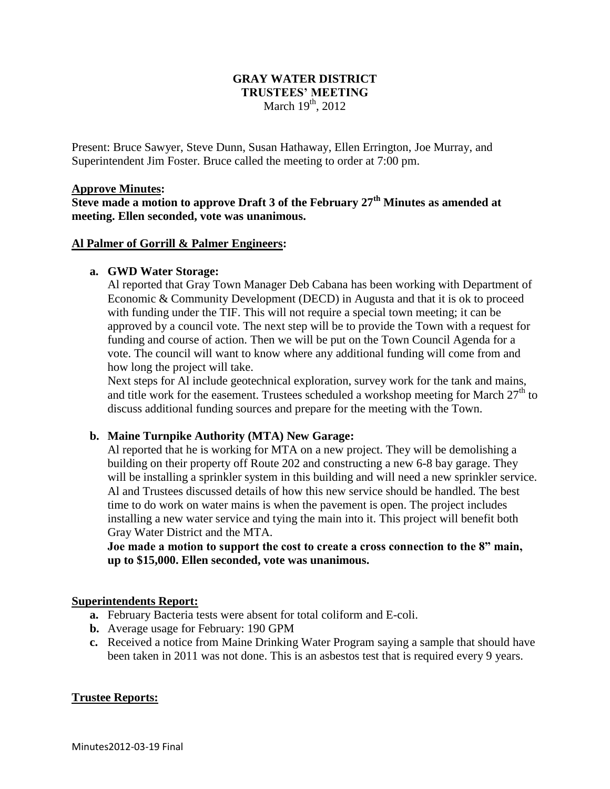# **GRAY WATER DISTRICT TRUSTEES' MEETING** March  $19<sup>th</sup>$ , 2012

Present: Bruce Sawyer, Steve Dunn, Susan Hathaway, Ellen Errington, Joe Murray, and Superintendent Jim Foster. Bruce called the meeting to order at 7:00 pm.

#### **Approve Minutes:**

**Steve made a motion to approve Draft 3 of the February 27th Minutes as amended at meeting. Ellen seconded, vote was unanimous.**

### **Al Palmer of Gorrill & Palmer Engineers:**

### **a. GWD Water Storage:**

Al reported that Gray Town Manager Deb Cabana has been working with Department of Economic & Community Development (DECD) in Augusta and that it is ok to proceed with funding under the TIF. This will not require a special town meeting; it can be approved by a council vote. The next step will be to provide the Town with a request for funding and course of action. Then we will be put on the Town Council Agenda for a vote. The council will want to know where any additional funding will come from and how long the project will take.

Next steps for Al include geotechnical exploration, survey work for the tank and mains, and title work for the easement. Trustees scheduled a workshop meeting for March  $27<sup>th</sup>$  to discuss additional funding sources and prepare for the meeting with the Town.

# **b. Maine Turnpike Authority (MTA) New Garage:**

Al reported that he is working for MTA on a new project. They will be demolishing a building on their property off Route 202 and constructing a new 6-8 bay garage. They will be installing a sprinkler system in this building and will need a new sprinkler service. Al and Trustees discussed details of how this new service should be handled. The best time to do work on water mains is when the pavement is open. The project includes installing a new water service and tying the main into it. This project will benefit both Gray Water District and the MTA.

**Joe made a motion to support the cost to create a cross connection to the 8" main, up to \$15,000. Ellen seconded, vote was unanimous.**

#### **Superintendents Report:**

- **a.** February Bacteria tests were absent for total coliform and E-coli.
- **b.** Average usage for February: 190 GPM
- **c.** Received a notice from Maine Drinking Water Program saying a sample that should have been taken in 2011 was not done. This is an asbestos test that is required every 9 years.

# **Trustee Reports:**